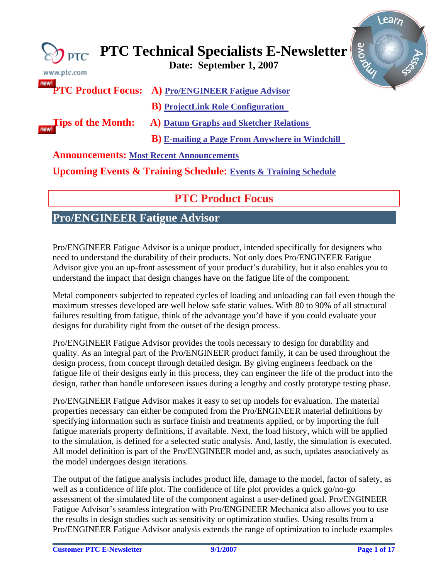<span id="page-0-0"></span>

| $\gtrsim$ PTC<br>www.ptc.com                    | arove<br><b>PTC Technical Specialists E-Newsletter</b><br>Date: September 1, 2007<br>SSS |
|-------------------------------------------------|------------------------------------------------------------------------------------------|
|                                                 | <b>PTC Product Focus: A) Pro/ENGINEER Fatigue Advisor</b>                                |
| <b>Tips of the Month:</b>                       | <b>B</b> ) ProjectLink Role Configuration                                                |
|                                                 | <b>A)</b> Datum Graphs and Sketcher Relations                                            |
|                                                 | <b>B</b> ) E-mailing a Page From Anywhere in Windchill                                   |
| <b>Announcements: Most Recent Announcements</b> |                                                                                          |
|                                                 | <b>Upcoming Events &amp; Training Schedule: Events &amp; Training Schedule</b>           |

# **PTC Product Focus**

## **Pro/ENGINEER Fatigue Advisor**

Pro/ENGINEER Fatigue Advisor is a unique product, intended specifically for designers who need to understand the durability of their products. Not only does Pro/ENGINEER Fatigue Advisor give you an up-front assessment of your product's durability, but it also enables you to understand the impact that design changes have on the fatigue life of the component.

Metal components subjected to repeated cycles of loading and unloading can fail even though the maximum stresses developed are well below safe static values. With 80 to 90% of all structural failures resulting from fatigue, think of the advantage you'd have if you could evaluate your designs for durability right from the outset of the design process.

Pro/ENGINEER Fatigue Advisor provides the tools necessary to design for durability and quality. As an integral part of the Pro/ENGINEER product family, it can be used throughout the design process, from concept through detailed design. By giving engineers feedback on the fatigue life of their designs early in this process, they can engineer the life of the product into the design, rather than handle unforeseen issues during a lengthy and costly prototype testing phase.

Pro/ENGINEER Fatigue Advisor makes it easy to set up models for evaluation. The material properties necessary can either be computed from the Pro/ENGINEER material definitions by specifying information such as surface finish and treatments applied, or by importing the full fatigue materials property definitions, if available. Next, the load history, which will be applied to the simulation, is defined for a selected static analysis. And, lastly, the simulation is executed. All model definition is part of the Pro/ENGINEER model and, as such, updates associatively as the model undergoes design iterations.

The output of the fatigue analysis includes product life, damage to the model, factor of safety, as well as a confidence of life plot. The confidence of life plot provides a quick go/no-go assessment of the simulated life of the component against a user-defined goal. Pro/ENGINEER Fatigue Advisor's seamless integration with Pro/ENGINEER Mechanica also allows you to use the results in design studies such as sensitivity or optimization studies. Using results from a Pro/ENGINEER Fatigue Advisor analysis extends the range of optimization to include examples

l ear<sub>r</sub>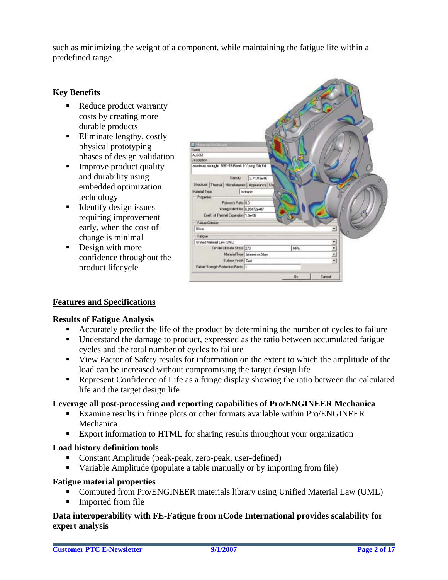such as minimizing the weight of a component, while maintaining the fatigue life within a predefined range.

### **Key Benefits**

- Reduce product warranty costs by creating more durable products
- **Eliminate lengthy, costly** physical prototyping phases of design validation
- Improve product quality and durability using embedded optimization technology
- $\blacksquare$  Identify design issues requiring improvement early, when the cost of change is minimal
- Design with more confidence throughout the product lifecycle



## **Features and Specifications**

#### **Results of Fatigue Analysis**

- Accurately predict the life of the product by determining the number of cycles to failure
- Understand the damage to product, expressed as the ratio between accumulated fatigue cycles and the total number of cycles to failure
- View Factor of Safety results for information on the extent to which the amplitude of the load can be increased without compromising the target design life
- Represent Confidence of Life as a fringe display showing the ratio between the calculated life and the target design life

#### **Leverage all post-processing and reporting capabilities of Pro/ENGINEER Mechanica**

- Examine results in fringe plots or other formats available within Pro/ENGINEER Mechanica
- **Export information to HTML for sharing results throughout your organization**

#### **Load history definition tools**

- Constant Amplitude (peak-peak, zero-peak, user-defined)
- Variable Amplitude (populate a table manually or by importing from file)

#### **Fatigue material properties**

- Computed from Pro/ENGINEER materials library using Unified Material Law (UML)
- Imported from file

### **Data interoperability with FE-Fatigue from nCode International provides scalability for expert analysis**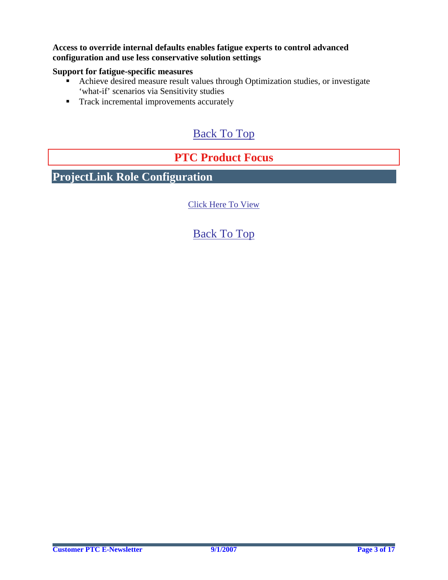### <span id="page-2-0"></span>**Access to override internal defaults enables fatigue experts to control advanced configuration and use less conservative solution settings**

## **Support for fatigue-specific measures**

- Achieve desired measure result values through Optimization studies, or investigate 'what-if' scenarios via Sensitivity studies
- **Track incremental improvements accurately**

# [Back To Top](#page-0-0)

# **PTC Product Focus**

**ProjectLink Role Configuration** 

[Click Here To View](http://members.shaw.ca/jpeng/newsletter/PTC_Technical_Specialists_E-Newsletter_09-01-2007_enterprise.pdf)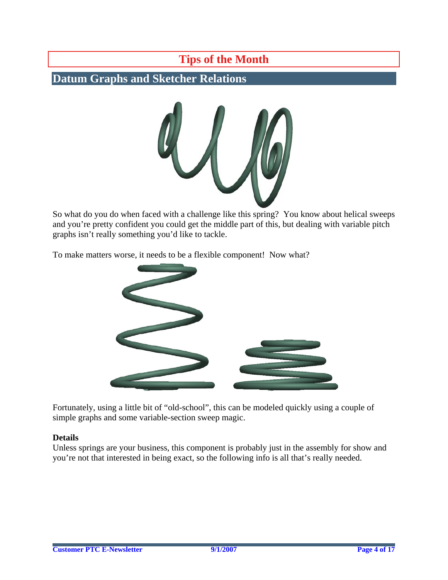# **Tips of the Month**

# <span id="page-3-0"></span>**Datum Graphs and Sketcher Relations**



So what do you do when faced with a challenge like this spring? You know about helical sweeps and you're pretty confident you could get the middle part of this, but dealing with variable pitch graphs isn't really something you'd like to tackle.

To make matters worse, it needs to be a flexible component! Now what?



Fortunately, using a little bit of "old-school", this can be modeled quickly using a couple of simple graphs and some variable-section sweep magic.

#### **Details**

Unless springs are your business, this component is probably just in the assembly for show and you're not that interested in being exact, so the following info is all that's really needed.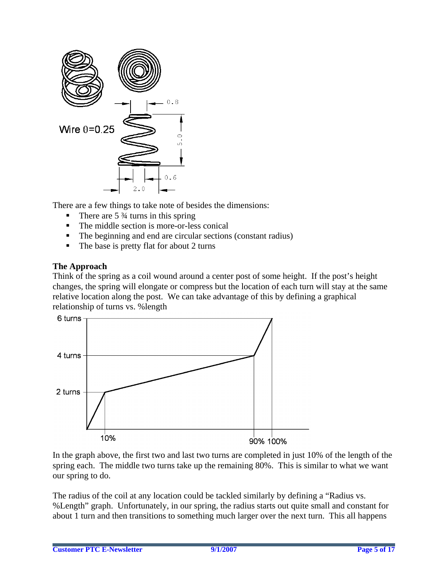

There are a few things to take note of besides the dimensions:

- There are  $5\frac{3}{4}$  turns in this spring
- The middle section is more-or-less conical
- The beginning and end are circular sections (constant radius)
- $\blacksquare$  The base is pretty flat for about 2 turns

### **The Approach**

Think of the spring as a coil wound around a center post of some height. If the post's height changes, the spring will elongate or compress but the location of each turn will stay at the same relative location along the post. We can take advantage of this by defining a graphical relationship of turns vs. %length



In the graph above, the first two and last two turns are completed in just 10% of the length of the spring each. The middle two turns take up the remaining 80%. This is similar to what we want our spring to do.

The radius of the coil at any location could be tackled similarly by defining a "Radius vs. %Length" graph. Unfortunately, in our spring, the radius starts out quite small and constant for about 1 turn and then transitions to something much larger over the next turn. This all happens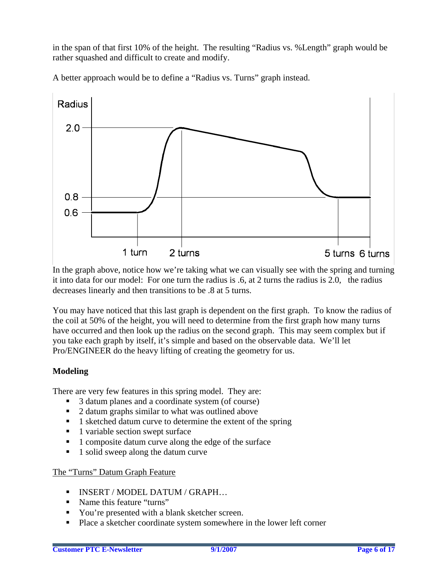in the span of that first 10% of the height. The resulting "Radius vs. %Length" graph would be rather squashed and difficult to create and modify.

A better approach would be to define a "Radius vs. Turns" graph instead.



In the graph above, notice how we're taking what we can visually see with the spring and turning it into data for our model: For one turn the radius is .6, at 2 turns the radius is 2.0, the radius decreases linearly and then transitions to be .8 at 5 turns.

You may have noticed that this last graph is dependent on the first graph. To know the radius of the coil at 50% of the height, you will need to determine from the first graph how many turns have occurred and then look up the radius on the second graph. This may seem complex but if you take each graph by itself, it's simple and based on the observable data. We'll let Pro/ENGINEER do the heavy lifting of creating the geometry for us.

## **Modeling**

There are very few features in this spring model. They are:

- 3 datum planes and a coordinate system (of course)
- 2 datum graphs similar to what was outlined above
- 1 sketched datum curve to determine the extent of the spring
- $\blacksquare$  1 variable section swept surface
- 1 composite datum curve along the edge of the surface
- $\blacksquare$  1 solid sweep along the datum curve

## The "Turns" Datum Graph Feature

- INSERT / MODEL DATUM / GRAPH...
- Name this feature "turns"
- You're presented with a blank sketcher screen.
- **Place a sketcher coordinate system somewhere in the lower left corner**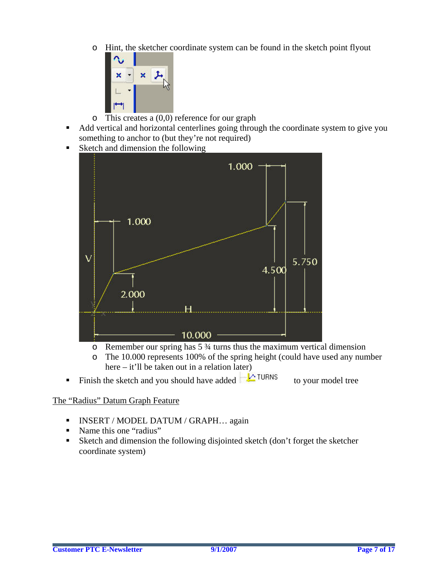o Hint, the sketcher coordinate system can be found in the sketch point flyout



- $\circ$  This creates a (0,0) reference for our graph
- Add vertical and horizontal centerlines going through the coordinate system to give you something to anchor to (but they're not required)
- Sketch and dimension the following



- $\circ$  Remember our spring has 5  $\frac{3}{4}$  turns thus the maximum vertical dimension
- o The 10.000 represents 100% of the spring height (could have used any number here – it'll be taken out in a relation later)
- Finish the sketch and you should have added  $\Box$  TURNS to your model tree

## The "Radius" Datum Graph Feature

- INSERT / MODEL DATUM / GRAPH... again
- Name this one "radius"
- Sketch and dimension the following disjointed sketch (don't forget the sketcher coordinate system)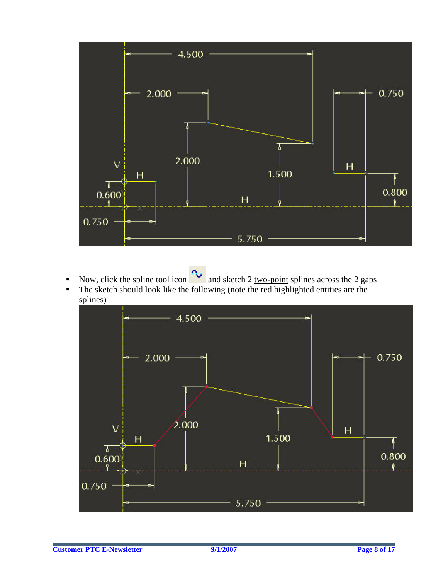

- Now, click the spline tool icon  $\infty$  and sketch 2 <u>two-point</u> splines across the 2 gaps
- $\blacksquare$  The sketch should look like the following (note the red highlighted entities are the splines)

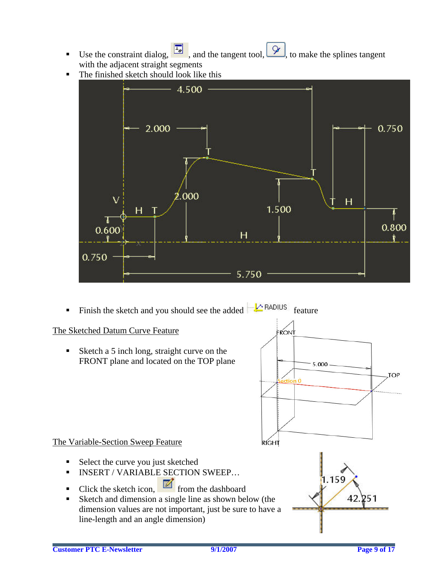- Use the constraint dialog,  $\frac{L_y}{L_z}$ , and the tangent tool,  $\frac{L_y}{L_z}$ , to make the splines tangent with the adjacent straight segments
- The finished sketch should look like this



Finish the sketch and you should see the added  $\frac{1}{2}$  RADIUS feature

## The Sketched Datum Curve Feature

Sketch a 5 inch long, straight curve on the FRONT plane and located on the TOP plane



## The Variable-Section Sweep Feature

- Select the curve you just sketched
- **INSERT / VARIABLE SECTION SWEEP...**
- Click the sketch icon,  $\blacksquare$  from the dashboard
- Sketch and dimension a single line as shown below (the dimension values are not important, just be sure to have a line-length and an angle dimension)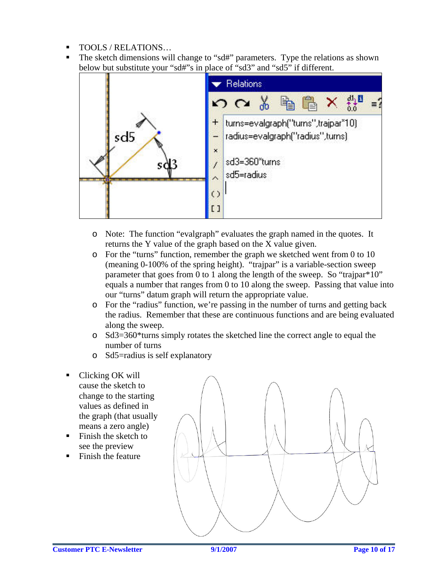- TOOLS / RELATIONS…
- The sketch dimensions will change to "sd#" parameters. Type the relations as shown below but substitute your "sd#"s in place of "sd3" and "sd5" if different.



- o Note: The function "evalgraph" evaluates the graph named in the quotes. It returns the Y value of the graph based on the X value given.
- o For the "turns" function, remember the graph we sketched went from 0 to 10 (meaning 0-100% of the spring height). "trajpar" is a variable-section sweep parameter that goes from 0 to 1 along the length of the sweep. So "trajpar\*10" equals a number that ranges from 0 to 10 along the sweep. Passing that value into our "turns" datum graph will return the appropriate value.
- o For the "radius" function, we're passing in the number of turns and getting back the radius. Remember that these are continuous functions and are being evaluated along the sweep.
- o Sd3=360\*turns simply rotates the sketched line the correct angle to equal the number of turns
- o Sd5=radius is self explanatory
- Clicking OK will cause the sketch to change to the starting values as defined in the graph (that usually means a zero angle)
- Finish the sketch to see the preview
- Finish the feature

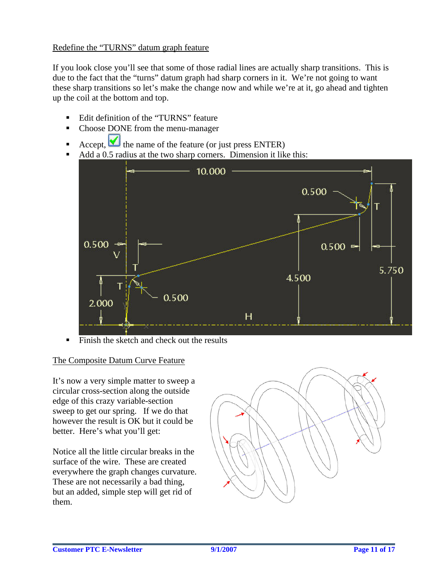## Redefine the "TURNS" datum graph feature

If you look close you'll see that some of those radial lines are actually sharp transitions. This is due to the fact that the "turns" datum graph had sharp corners in it. We're not going to want these sharp transitions so let's make the change now and while we're at it, go ahead and tighten up the coil at the bottom and top.

- Edit definition of the "TURNS" feature
- Choose DONE from the menu-manager
- Accept,  $\bigvee$  the name of the feature (or just press ENTER)
- Add a 0.5 radius at the two sharp corners. Dimension it like this:



Finish the sketch and check out the results

## The Composite Datum Curve Feature

It's now a very simple matter to sweep a circular cross-section along the outside edge of this crazy variable-section sweep to get our spring. If we do that however the result is OK but it could be better. Here's what you'll get:

Notice all the little circular breaks in the surface of the wire. These are created everywhere the graph changes curvature. These are not necessarily a bad thing, but an added, simple step will get rid of them.

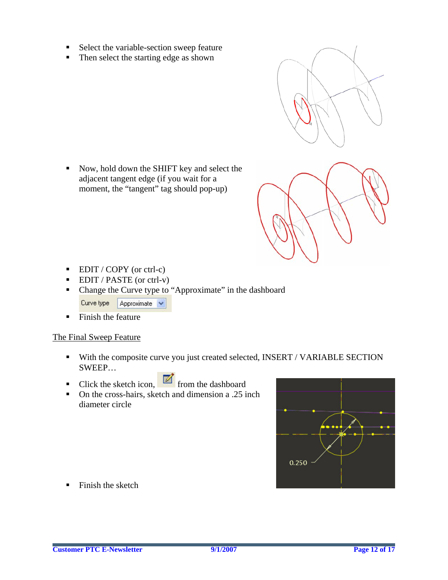- Select the variable-section sweep feature
- $\blacksquare$  Then select the starting edge as shown

Now, hold down the SHIFT key and select the adjacent tangent edge (if you wait for a moment, the "tangent" tag should pop-up)





- $\blacksquare$  EDIT / COPY (or ctrl-c)
- $\blacksquare$  EDIT / PASTE (or ctrl-v)
- Change the Curve type to "Approximate" in the dashboard Curve type  $\boxed{\phantom{\cdot}}$  Approximate  $\boxed{\smile}$
- $\blacksquare$  Finish the feature

#### The Final Sweep Feature

- With the composite curve you just created selected, INSERT / VARIABLE SECTION SWEEP…
- Click the sketch icon,  $\Box$  from the dashboard
- On the cross-hairs, sketch and dimension a .25 inch diameter circle



 $\blacksquare$  Finish the sketch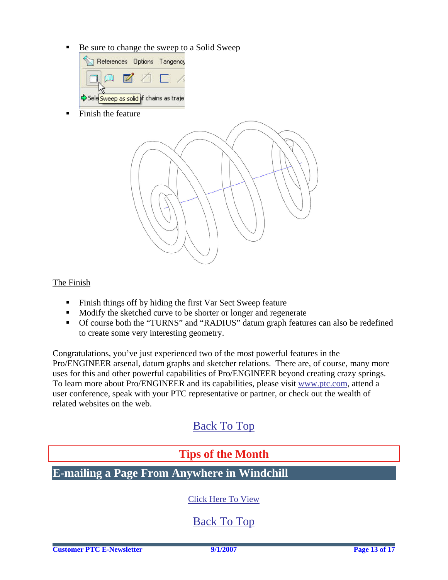<span id="page-12-0"></span>Be sure to change the sweep to a Solid Sweep



■ Finish the feature



### The Finish

- Finish things off by hiding the first Var Sect Sweep feature
- Modify the sketched curve to be shorter or longer and regenerate
- Of course both the "TURNS" and "RADIUS" datum graph features can also be redefined to create some very interesting geometry.

Congratulations, you've just experienced two of the most powerful features in the Pro/ENGINEER arsenal, datum graphs and sketcher relations. There are, of course, many more uses for this and other powerful capabilities of Pro/ENGINEER beyond creating crazy springs. To learn more about Pro/ENGINEER and its capabilities, please visit [www.ptc.com,](http://www.ptc.com/) attend a user conference, speak with your PTC representative or partner, or check out the wealth of related websites on the web.

# [Back To Top](#page-0-0)

## **Tips of the Month**

## **E-mailing a Page From Anywhere in Windchill**

## [Click Here To View](http://members.shaw.ca/jpeng/newsletter/PTC_Technical_Specialists_E-Newsletter_09-01-2007_enterprise.pdf)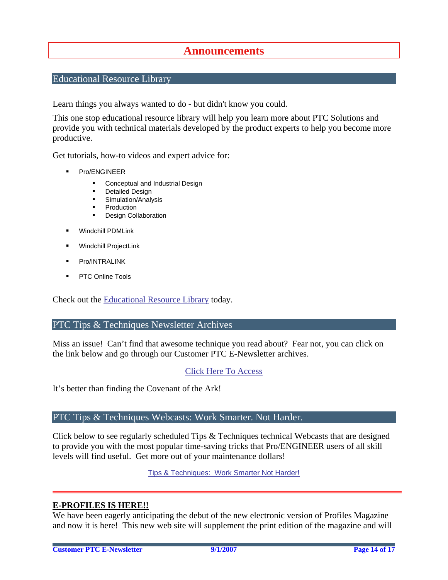## **Announcements**

### <span id="page-13-0"></span>Educational Resource Library

Learn things you always wanted to do - but didn't know you could.

This one stop educational resource library will help you learn more about PTC Solutions and provide you with technical materials developed by the product experts to help you become more productive.

Get tutorials, how-to videos and expert advice for:

- **Pro/ENGINEER** 
	- **EXECONCEPT** Conceptual and Industrial Design
	- **•** Detailed Design
	- **Simulation/Analysis**
	- Production
	- Design Collaboration
- Windchill PDMLink
- Windchill ProjectLink
- Pro/INTRALINK
- PTC Online Tools

Check out the [Educational Resource Library](http://www.ptc.com/community/proewf/newtools/tutorials.htm) today.

#### PTC Tips & Techniques Newsletter Archives

Miss an issue! Can't find that awesome technique you read about? Fear not, you can click on the link below and go through our Customer PTC E-Newsletter archives.

#### [Click Here To Access](http://www.ptc.com/carezone/archive/index.htm)

It's better than finding the Covenant of the Ark!

#### PTC Tips & Techniques Webcasts: Work Smarter. Not Harder.

Click below to see regularly scheduled Tips & Techniques technical Webcasts that are designed to provide you with the most popular time-saving tricks that Pro/ENGINEER users of all skill levels will find useful. Get more out of your maintenance dollars!

Tips & Techniques: Work Smarter Not Harder!

#### **E-PROFILES IS HERE!!**

We have been eagerly anticipating the debut of the new electronic version of Profiles Magazine and now it is here! This new web site will supplement the print edition of the magazine and will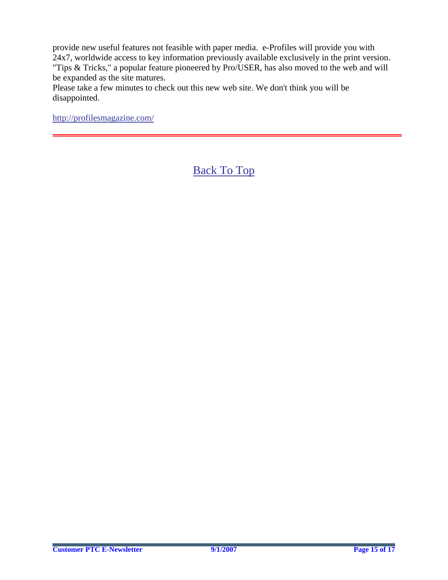provide new useful features not feasible with paper media. e-Profiles will provide you with 24x7, worldwide access to key information previously available exclusively in the print version. "Tips & Tricks," a popular feature pioneered by Pro/USER, has also moved to the web and will be expanded as the site matures.

Please take a few minutes to check out this new web site. We don't think you will be disappointed.

<http://profilesmagazine.com/>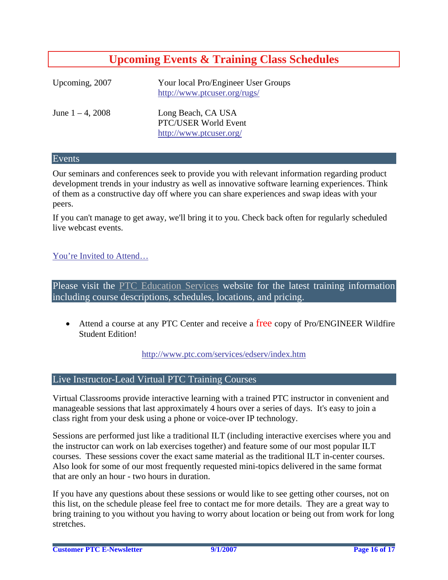# **Upcoming Events & Training Class Schedules**

<span id="page-15-0"></span>

| Upcoming, 2007      | Your local Pro/Engineer User Groups<br>http://www.ptcuser.org/rugs/   |
|---------------------|-----------------------------------------------------------------------|
| June $1 - 4$ , 2008 | Long Beach, CA USA<br>PTC/USER World Event<br>http://www.ptcuser.org/ |

#### Events

Our seminars and conferences seek to provide you with relevant information regarding product development trends in your industry as well as innovative software learning experiences. Think of them as a constructive day off where you can share experiences and swap ideas with your peers.

If you can't manage to get away, we'll bring it to you. Check back often for regularly scheduled live webcast events.

### [You're Invited to Attend…](http://www.ptc.com/company/news/events/index.htm)

Please visit the [PTC Education Services](http://www.ptc.com/services/edserv/) website for the latest training information including course descriptions, schedules, locations, and pricing.

• Attend a course at any PTC Center and receive a free copy of Pro/ENGINEER Wildfire Student Edition!

<http://www.ptc.com/services/edserv/index.htm>

#### Live Instructor-Lead Virtual PTC Training Courses

Virtual Classrooms provide interactive learning with a trained PTC instructor in convenient and manageable sessions that last approximately 4 hours over a series of days. It's easy to join a class right from your desk using a phone or voice-over IP technology.

Sessions are performed just like a traditional ILT (including interactive exercises where you and the instructor can work on lab exercises together) and feature some of our most popular ILT courses. These sessions cover the exact same material as the traditional ILT in-center courses. Also look for some of our most frequently requested mini-topics delivered in the same format that are only an hour - two hours in duration.

If you have any questions about these sessions or would like to see getting other courses, not on this list, on the schedule please feel free to contact me for more details. They are a great way to bring training to you without you having to worry about location or being out from work for long stretches.